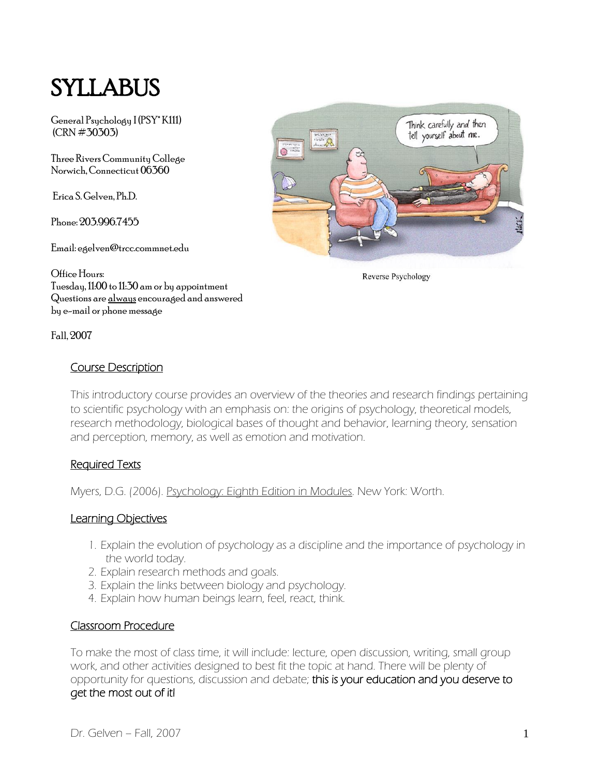# SYLLABUS

General Psychology I (PSY\* K111) (CRN #30303)

Three Rivers Community College Norwich, Connecticut 06360

Erica S. Gelven, Ph.D.

Phone: 203.996.7455

Email: egelven@trcc.commnet.edu

Think carefully and then tell yourself about me.

Reverse Psychology

Office Hours: Tuesday, 11:00 to 11:30 am or by appointment Questions are always encouraged and answered by e-mail or phone message

Fall, 2007

# Course Description

This introductory course provides an overview of the theories and research findings pertaining to scientific psychology with an emphasis on: the origins of psychology, theoretical models, research methodology, biological bases of thought and behavior, learning theory, sensation and perception, memory, as well as emotion and motivation.

#### Required Texts

Myers, D.G. (2006). Psychology: Eighth Edition in Modules. New York: Worth.

#### Learning Objectives

- 1. Explain the evolution of psychology as a discipline and the importance of psychology in the world today.
- 2. Explain research methods and goals.
- 3. Explain the links between biology and psychology.
- 4. Explain how human beings learn, feel, react, think.

#### Classroom Procedure

To make the most of class time, it will include: lecture, open discussion, writing, small group work, and other activities designed to best fit the topic at hand. There will be plenty of opportunity for questions, discussion and debate; this is your education and you deserve to get the most out of it!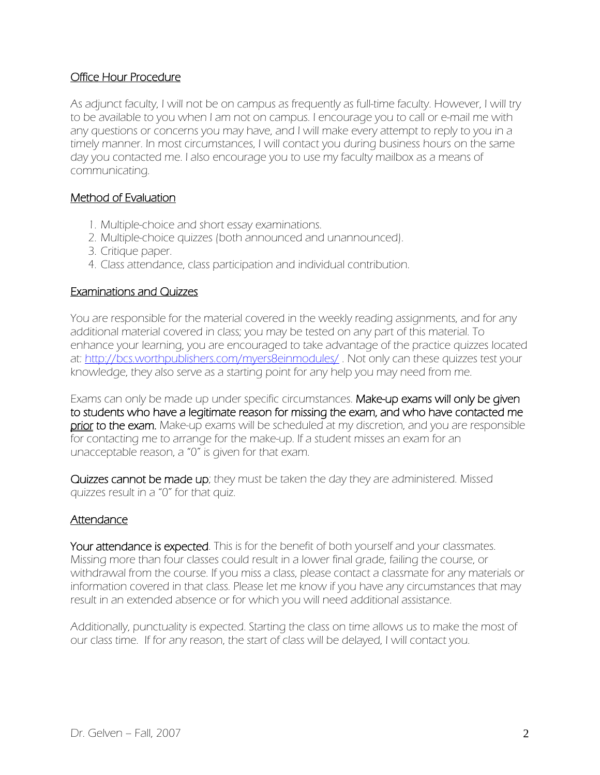## Office Hour Procedure

As adjunct faculty, I will not be on campus as frequently as full-time faculty. However, I will try to be available to you when I am not on campus. I encourage you to call or e-mail me with any questions or concerns you may have, and I will make every attempt to reply to you in a timely manner. In most circumstances, I will contact you during business hours on the same day you contacted me. I also encourage you to use my faculty mailbox as a means of communicating.

### Method of Evaluation

- 1. Multiple-choice and short essay examinations.
- 2. Multiple-choice quizzes (both announced and unannounced).
- 3. Critique paper.
- 4. Class attendance, class participation and individual contribution.

#### Examinations and Quizzes

You are responsible for the material covered in the weekly reading assignments, and for any additional material covered in class; you may be tested on any part of this material. To enhance your learning, you are encouraged to take advantage of the practice quizzes located at: <http://bcs.worthpublishers.com/myers8einmodules/>. Not only can these quizzes test your knowledge, they also serve as a starting point for any help you may need from me.

Exams can only be made up under specific circumstances. Make-up exams will only be given to students who have a legitimate reason for missing the exam, and who have contacted me prior to the exam. Make-up exams will be scheduled at my discretion, and you are responsible for contacting me to arrange for the make-up. If a student misses an exam for an unacceptable reason, a "0" is given for that exam.

Quizzes cannot be made up; they must be taken the day they are administered. Missed quizzes result in a "0" for that quiz.

#### Attendance

Your attendance is expected. This is for the benefit of both yourself and your classmates. Missing more than four classes could result in a lower final grade, failing the course, or withdrawal from the course. If you miss a class, please contact a classmate for any materials or information covered in that class. Please let me know if you have any circumstances that may result in an extended absence or for which you will need additional assistance.

Additionally, punctuality is expected. Starting the class on time allows us to make the most of our class time. If for any reason, the start of class will be delayed, I will contact you.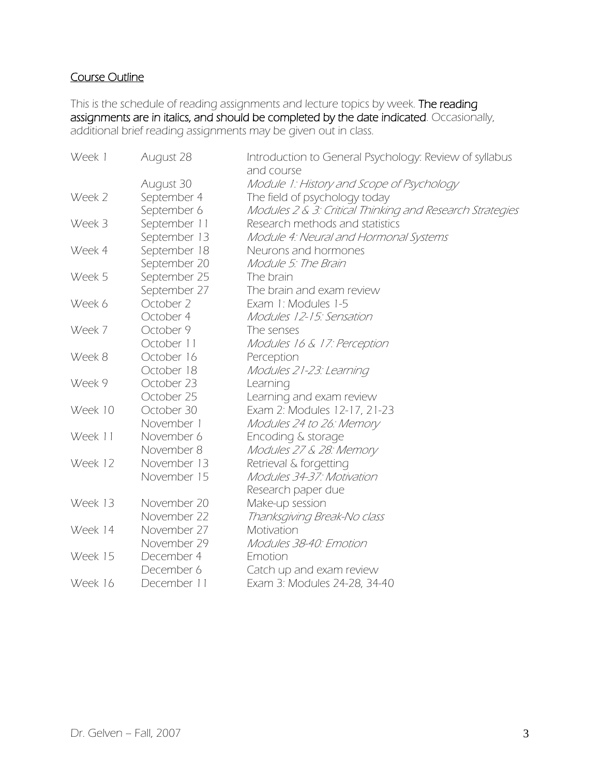# Course Outline

This is the schedule of reading assignments and lecture topics by week. The reading assignments are in italics, and should be completed by the date indicated. Occasionally, additional brief reading assignments may be given out in class.

| Week 1  | August 28    | Introduction to General Psychology: Review of syllabus<br>and course |
|---------|--------------|----------------------------------------------------------------------|
|         | August 30    | Module 1: History and Scope of Psychology                            |
| Week 2  | September 4  | The field of psychology today                                        |
|         | September 6  | Modules 2 & 3: Critical Thinking and Research Strategies             |
| Week 3  | September 11 | Research methods and statistics                                      |
|         | September 13 | Module 4: Neural and Hormonal Systems                                |
| Week 4  | September 18 | Neurons and hormones                                                 |
|         | September 20 | Module 5: The Brain                                                  |
| Week 5  | September 25 | The brain                                                            |
|         | September 27 | The brain and exam review                                            |
| Week 6  | October 2    | Exam 1: Modules 1-5                                                  |
|         | October 4    | Modules 12-15: Sensation                                             |
| Week 7  | October 9    | The senses                                                           |
|         | October 11   | Modules 16 & 17: Perception                                          |
| Week 8  | October 16   | Perception                                                           |
|         | October 18   | Modules 21-23: Learning                                              |
| Week 9  | October 23   | Learning                                                             |
|         | October 25   | Learning and exam review                                             |
| Week 10 | October 30   | Exam 2: Modules 12-17, 21-23                                         |
|         | November 1   | Modules 24 to 26: Memory                                             |
| Week 11 | November 6   | Encoding & storage                                                   |
|         | November 8   | Modules 27 & 28: Memory                                              |
| Week 12 | November 13  | Retrieval & forgetting                                               |
|         | November 15  | Modules 34-37: Motivation                                            |
|         |              | Research paper due                                                   |
| Week 13 | November 20  | Make-up session                                                      |
|         | November 22  | Thanksgiving Break-No class                                          |
| Week 14 | November 27  | Motivation                                                           |
|         | November 29  | Modules 38-40: Emotion                                               |
| Week 15 | December 4   | Emotion                                                              |
|         | December 6   | Catch up and exam review                                             |
| Week 16 | December 11  | Exam 3: Modules 24-28, 34-40                                         |